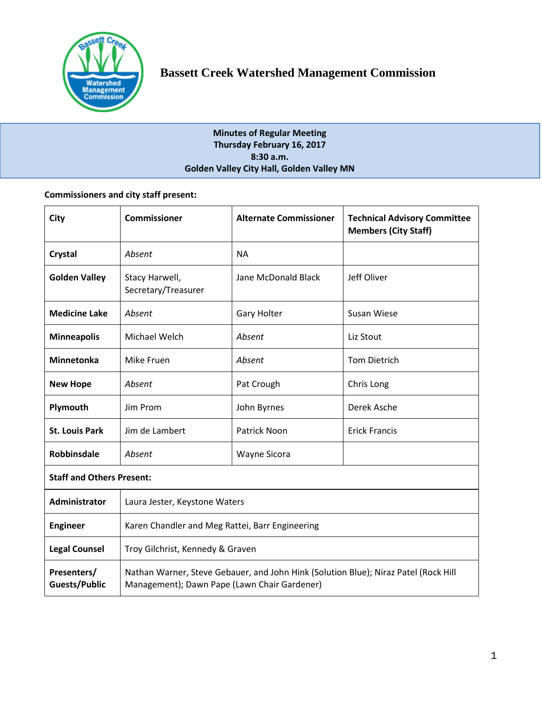

# **Minutes of Regular Meeting Thursday February 16, 2017 8:30 a.m. Golden Valley City Hall, Golden Valley MN**

# **Commissioners and city staff present:**

| City                             | <b>Commissioner</b>                                                                                                                 | <b>Alternate Commissioner</b> | <b>Technical Advisory Committee</b><br><b>Members (City Staff)</b> |  |
|----------------------------------|-------------------------------------------------------------------------------------------------------------------------------------|-------------------------------|--------------------------------------------------------------------|--|
| Crystal                          | Absent                                                                                                                              | <b>NA</b>                     |                                                                    |  |
| <b>Golden Valley</b>             | Stacy Harwell,<br>Secretary/Treasurer                                                                                               | Jane McDonald Black           | Jeff Oliver                                                        |  |
| <b>Medicine Lake</b>             | Absent                                                                                                                              | <b>Gary Holter</b>            | <b>Susan Wiese</b>                                                 |  |
| <b>Minneapolis</b>               | Michael Welch                                                                                                                       | Absent                        | Liz Stout                                                          |  |
| <b>Minnetonka</b>                | Mike Fruen                                                                                                                          | Absent                        | <b>Tom Dietrich</b>                                                |  |
| <b>New Hope</b>                  | Absent                                                                                                                              | Pat Crough                    | Chris Long                                                         |  |
| Plymouth                         | Jim Prom                                                                                                                            | John Byrnes                   | Derek Asche                                                        |  |
| <b>St. Louis Park</b>            | Jim de Lambert                                                                                                                      | Patrick Noon                  | <b>Erick Francis</b>                                               |  |
| <b>Robbinsdale</b>               | Absent                                                                                                                              | Wayne Sicora                  |                                                                    |  |
| <b>Staff and Others Present:</b> |                                                                                                                                     |                               |                                                                    |  |
| <b>Administrator</b>             | Laura Jester, Keystone Waters                                                                                                       |                               |                                                                    |  |
| <b>Engineer</b>                  | Karen Chandler and Meg Rattei, Barr Engineering                                                                                     |                               |                                                                    |  |
| <b>Legal Counsel</b>             | Troy Gilchrist, Kennedy & Graven                                                                                                    |                               |                                                                    |  |
| Presenters/<br>Guests/Public     | Nathan Warner, Steve Gebauer, and John Hink (Solution Blue); Niraz Patel (Rock Hill<br>Management); Dawn Pape (Lawn Chair Gardener) |                               |                                                                    |  |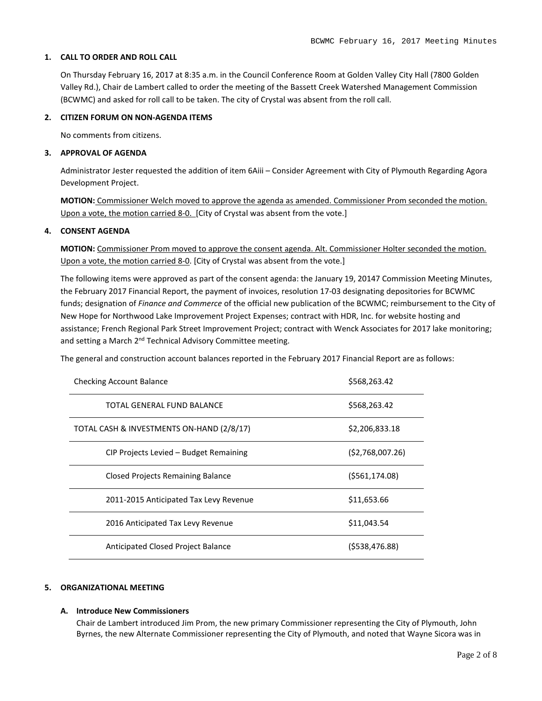### **1. CALL TO ORDER AND ROLL CALL**

On Thursday February 16, 2017 at 8:35 a.m. in the Council Conference Room at Golden Valley City Hall (7800 Golden Valley Rd.), Chair de Lambert called to order the meeting of the Bassett Creek Watershed Management Commission (BCWMC) and asked for roll call to be taken. The city of Crystal was absent from the roll call.

## **2. CITIZEN FORUM ON NON-AGENDA ITEMS**

No comments from citizens.

### **3. APPROVAL OF AGENDA**

Administrator Jester requested the addition of item 6Aiii – Consider Agreement with City of Plymouth Regarding Agora Development Project.

**MOTION:** Commissioner Welch moved to approve the agenda as amended. Commissioner Prom seconded the motion. Upon a vote, the motion carried 8-0. [City of Crystal was absent from the vote.]

## **4. CONSENT AGENDA**

**MOTION:** Commissioner Prom moved to approve the consent agenda. Alt. Commissioner Holter seconded the motion. Upon a vote, the motion carried 8-0. [City of Crystal was absent from the vote.]

The following items were approved as part of the consent agenda: the January 19, 20147 Commission Meeting Minutes, the February 2017 Financial Report, the payment of invoices, resolution 17-03 designating depositories for BCWMC funds; designation of *Finance and Commerce* of the official new publication of the BCWMC; reimbursement to the City of New Hope for Northwood Lake Improvement Project Expenses; contract with HDR, Inc. for website hosting and assistance; French Regional Park Street Improvement Project; contract with Wenck Associates for 2017 lake monitoring; and setting a March 2<sup>nd</sup> Technical Advisory Committee meeting.

The general and construction account balances reported in the February 2017 Financial Report are as follows:

| <b>Checking Account Balance</b>           | \$568,263.42    |
|-------------------------------------------|-----------------|
| TOTAL GENERAL FUND BALANCE                | \$568,263.42    |
| TOTAL CASH & INVESTMENTS ON-HAND (2/8/17) | \$2,206,833.18  |
| CIP Projects Levied - Budget Remaining    | (52,768,007.26) |
| Closed Projects Remaining Balance         | (5561, 174.08)  |
| 2011-2015 Anticipated Tax Levy Revenue    | \$11,653.66     |
| 2016 Anticipated Tax Levy Revenue         | \$11,043.54     |
| Anticipated Closed Project Balance        | (\$538,476.88)  |

#### **5. ORGANIZATIONAL MEETING**

#### **A. Introduce New Commissioners**

Chair de Lambert introduced Jim Prom, the new primary Commissioner representing the City of Plymouth, John Byrnes, the new Alternate Commissioner representing the City of Plymouth, and noted that Wayne Sicora was in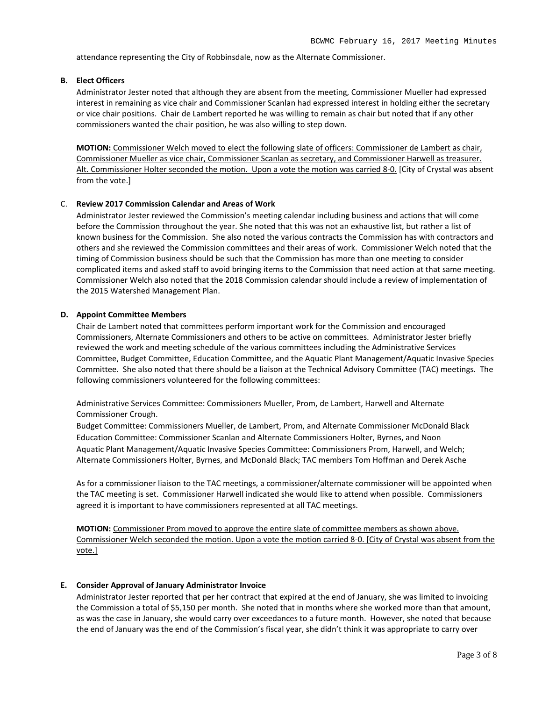attendance representing the City of Robbinsdale, now as the Alternate Commissioner.

## **B. Elect Officers**

Administrator Jester noted that although they are absent from the meeting, Commissioner Mueller had expressed interest in remaining as vice chair and Commissioner Scanlan had expressed interest in holding either the secretary or vice chair positions. Chair de Lambert reported he was willing to remain as chair but noted that if any other commissioners wanted the chair position, he was also willing to step down.

**MOTION:** Commissioner Welch moved to elect the following slate of officers: Commissioner de Lambert as chair, Commissioner Mueller as vice chair, Commissioner Scanlan as secretary, and Commissioner Harwell as treasurer. Alt. Commissioner Holter seconded the motion. Upon a vote the motion was carried 8-0. [City of Crystal was absent from the vote.]

#### C. **Review 2017 Commission Calendar and Areas of Work**

Administrator Jester reviewed the Commission's meeting calendar including business and actions that will come before the Commission throughout the year. She noted that this was not an exhaustive list, but rather a list of known business for the Commission. She also noted the various contracts the Commission has with contractors and others and she reviewed the Commission committees and their areas of work. Commissioner Welch noted that the timing of Commission business should be such that the Commission has more than one meeting to consider complicated items and asked staff to avoid bringing items to the Commission that need action at that same meeting. Commissioner Welch also noted that the 2018 Commission calendar should include a review of implementation of the 2015 Watershed Management Plan.

#### **D. Appoint Committee Members**

Chair de Lambert noted that committees perform important work for the Commission and encouraged Commissioners, Alternate Commissioners and others to be active on committees. Administrator Jester briefly reviewed the work and meeting schedule of the various committees including the Administrative Services Committee, Budget Committee, Education Committee, and the Aquatic Plant Management/Aquatic Invasive Species Committee. She also noted that there should be a liaison at the Technical Advisory Committee (TAC) meetings. The following commissioners volunteered for the following committees:

Administrative Services Committee: Commissioners Mueller, Prom, de Lambert, Harwell and Alternate Commissioner Crough.

Budget Committee: Commissioners Mueller, de Lambert, Prom, and Alternate Commissioner McDonald Black Education Committee: Commissioner Scanlan and Alternate Commissioners Holter, Byrnes, and Noon Aquatic Plant Management/Aquatic Invasive Species Committee: Commissioners Prom, Harwell, and Welch; Alternate Commissioners Holter, Byrnes, and McDonald Black; TAC members Tom Hoffman and Derek Asche

As for a commissioner liaison to the TAC meetings, a commissioner/alternate commissioner will be appointed when the TAC meeting is set. Commissioner Harwell indicated she would like to attend when possible. Commissioners agreed it is important to have commissioners represented at all TAC meetings.

**MOTION:** Commissioner Prom moved to approve the entire slate of committee members as shown above. Commissioner Welch seconded the motion. Upon a vote the motion carried 8-0. [City of Crystal was absent from the vote.]

#### **E. Consider Approval of January Administrator Invoice**

Administrator Jester reported that per her contract that expired at the end of January, she was limited to invoicing the Commission a total of \$5,150 per month. She noted that in months where she worked more than that amount, as was the case in January, she would carry over exceedances to a future month. However, she noted that because the end of January was the end of the Commission's fiscal year, she didn't think it was appropriate to carry over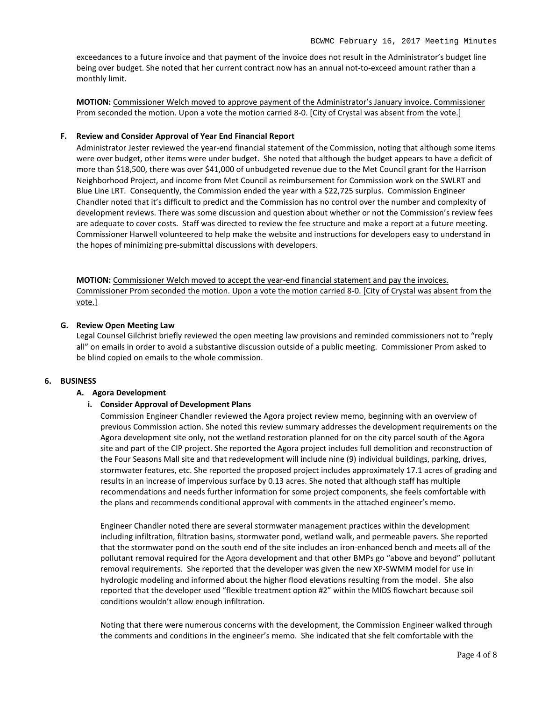exceedances to a future invoice and that payment of the invoice does not result in the Administrator's budget line being over budget. She noted that her current contract now has an annual not-to-exceed amount rather than a monthly limit.

**MOTION:** Commissioner Welch moved to approve payment of the Administrator's January invoice. Commissioner Prom seconded the motion. Upon a vote the motion carried 8-0. [City of Crystal was absent from the vote.]

### **F. Review and Consider Approval of Year End Financial Report**

Administrator Jester reviewed the year-end financial statement of the Commission, noting that although some items were over budget, other items were under budget. She noted that although the budget appears to have a deficit of more than \$18,500, there was over \$41,000 of unbudgeted revenue due to the Met Council grant for the Harrison Neighborhood Project, and income from Met Council as reimbursement for Commission work on the SWLRT and Blue Line LRT. Consequently, the Commission ended the year with a \$22,725 surplus. Commission Engineer Chandler noted that it's difficult to predict and the Commission has no control over the number and complexity of development reviews. There was some discussion and question about whether or not the Commission's review fees are adequate to cover costs. Staff was directed to review the fee structure and make a report at a future meeting. Commissioner Harwell volunteered to help make the website and instructions for developers easy to understand in the hopes of minimizing pre-submittal discussions with developers.

**MOTION:** Commissioner Welch moved to accept the year-end financial statement and pay the invoices. Commissioner Prom seconded the motion. Upon a vote the motion carried 8-0. [City of Crystal was absent from the vote.]

## **G. Review Open Meeting Law**

Legal Counsel Gilchrist briefly reviewed the open meeting law provisions and reminded commissioners not to "reply all" on emails in order to avoid a substantive discussion outside of a public meeting. Commissioner Prom asked to be blind copied on emails to the whole commission.

#### **6. BUSINESS**

#### **A. Agora Development**

#### **i. Consider Approval of Development Plans**

Commission Engineer Chandler reviewed the Agora project review memo, beginning with an overview of previous Commission action. She noted this review summary addresses the development requirements on the Agora development site only, not the wetland restoration planned for on the city parcel south of the Agora site and part of the CIP project. She reported the Agora project includes full demolition and reconstruction of the Four Seasons Mall site and that redevelopment will include nine (9) individual buildings, parking, drives, stormwater features, etc. She reported the proposed project includes approximately 17.1 acres of grading and results in an increase of impervious surface by 0.13 acres. She noted that although staff has multiple recommendations and needs further information for some project components, she feels comfortable with the plans and recommends conditional approval with comments in the attached engineer's memo.

Engineer Chandler noted there are several stormwater management practices within the development including infiltration, filtration basins, stormwater pond, wetland walk, and permeable pavers. She reported that the stormwater pond on the south end of the site includes an iron-enhanced bench and meets all of the pollutant removal required for the Agora development and that other BMPs go "above and beyond" pollutant removal requirements. She reported that the developer was given the new XP-SWMM model for use in hydrologic modeling and informed about the higher flood elevations resulting from the model. She also reported that the developer used "flexible treatment option #2" within the MIDS flowchart because soil conditions wouldn't allow enough infiltration.

Noting that there were numerous concerns with the development, the Commission Engineer walked through the comments and conditions in the engineer's memo. She indicated that she felt comfortable with the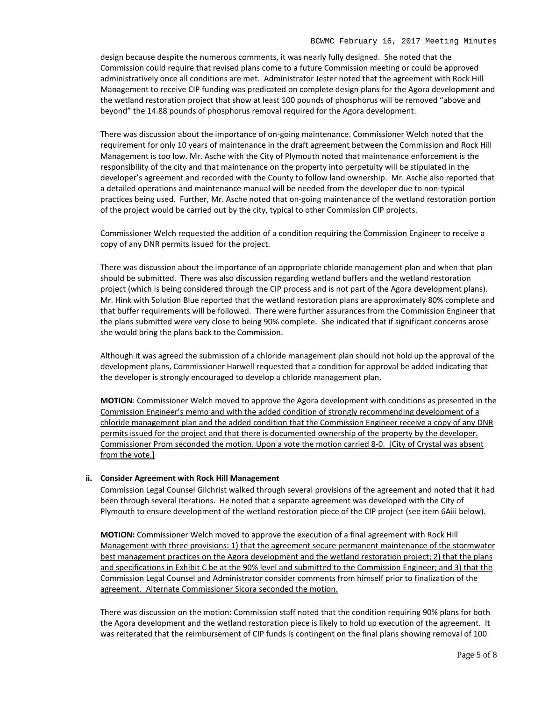design because despite the numerous comments, it was nearly fully designed. She noted that the Commission could require that revised plans come to a future Commission meeting or could be approved administratively once all conditions are met. Administrator Jester noted that the agreement with Rock Hill Management to receive CIP funding was predicated on complete design plans for the Agora development and the wetland restoration project that show at least 100 pounds of phosphorus will be removed "above and beyond" the 14.88 pounds of phosphorus removal required for the Agora development.

There was discussion about the importance of on-going maintenance. Commissioner Welch noted that the requirement for only 10 years of maintenance in the draft agreement between the Commission and Rock Hill Management is too low. Mr. Asche with the City of Plymouth noted that maintenance enforcement is the responsibility of the city and that maintenance on the property into perpetuity will be stipulated in the developer's agreement and recorded with the County to follow land ownership. Mr. Asche also reported that a detailed operations and maintenance manual will be needed from the developer due to non-typical practices being used. Further, Mr. Asche noted that on-going maintenance of the wetland restoration portion of the project would be carried out by the city, typical to other Commission CIP projects.

Commissioner Welch requested the addition of a condition requiring the Commission Engineer to receive a copy of any DNR permits issued for the project.

There was discussion about the importance of an appropriate chloride management plan and when that plan should be submitted. There was also discussion regarding wetland buffers and the wetland restoration project (which is being considered through the CIP process and is not part of the Agora development plans). Mr. Hink with Solution Blue reported that the wetland restoration plans are approximately 80% complete and that buffer requirements will be followed. There were further assurances from the Commission Engineer that the plans submitted were very close to being 90% complete. She indicated that if significant concerns arose she would bring the plans back to the Commission.

Although it was agreed the submission of a chloride management plan should not hold up the approval of the development plans, Commissioner Harwell requested that a condition for approval be added indicating that the developer is strongly encouraged to develop a chloride management plan.

**MOTION**: Commissioner Welch moved to approve the Agora development with conditions as presented in the Commission Engineer's memo and with the added condition of strongly recommending development of a chloride management plan and the added condition that the Commission Engineer receive a copy of any DNR permits issued for the project and that there is documented ownership of the property by the developer. Commissioner Prom seconded the motion. Upon a vote the motion carried 8-0. [City of Crystal was absent from the vote.]

#### **ii. Consider Agreement with Rock Hill Management**

Commission Legal Counsel Gilchrist walked through several provisions of the agreement and noted that it had been through several iterations. He noted that a separate agreement was developed with the City of Plymouth to ensure development of the wetland restoration piece of the CIP project (see item 6Aiii below).

**MOTION:** Commissioner Welch moved to approve the execution of a final agreement with Rock Hill Management with three provisions: 1) that the agreement secure permanent maintenance of the stormwater best management practices on the Agora development and the wetland restoration project; 2) that the plans and specifications in Exhibit C be at the 90% level and submitted to the Commission Engineer; and 3) that the Commission Legal Counsel and Administrator consider comments from himself prior to finalization of the agreement. Alternate Commissioner Sicora seconded the motion.

There was discussion on the motion: Commission staff noted that the condition requiring 90% plans for both the Agora development and the wetland restoration piece is likely to hold up execution of the agreement. It was reiterated that the reimbursement of CIP funds is contingent on the final plans showing removal of 100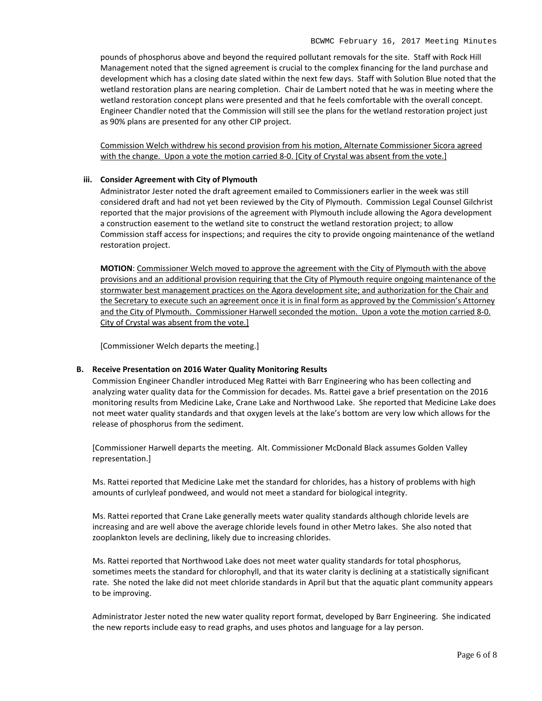pounds of phosphorus above and beyond the required pollutant removals for the site. Staff with Rock Hill Management noted that the signed agreement is crucial to the complex financing for the land purchase and development which has a closing date slated within the next few days. Staff with Solution Blue noted that the wetland restoration plans are nearing completion. Chair de Lambert noted that he was in meeting where the wetland restoration concept plans were presented and that he feels comfortable with the overall concept. Engineer Chandler noted that the Commission will still see the plans for the wetland restoration project just as 90% plans are presented for any other CIP project.

Commission Welch withdrew his second provision from his motion, Alternate Commissioner Sicora agreed with the change. Upon a vote the motion carried 8-0. [City of Crystal was absent from the vote.]

## **iii. Consider Agreement with City of Plymouth**

Administrator Jester noted the draft agreement emailed to Commissioners earlier in the week was still considered draft and had not yet been reviewed by the City of Plymouth. Commission Legal Counsel Gilchrist reported that the major provisions of the agreement with Plymouth include allowing the Agora development a construction easement to the wetland site to construct the wetland restoration project; to allow Commission staff access for inspections; and requires the city to provide ongoing maintenance of the wetland restoration project.

**MOTION**: Commissioner Welch moved to approve the agreement with the City of Plymouth with the above provisions and an additional provision requiring that the City of Plymouth require ongoing maintenance of the stormwater best management practices on the Agora development site; and authorization for the Chair and the Secretary to execute such an agreement once it is in final form as approved by the Commission's Attorney and the City of Plymouth. Commissioner Harwell seconded the motion. Upon a vote the motion carried 8-0. City of Crystal was absent from the vote.]

[Commissioner Welch departs the meeting.]

#### **B. Receive Presentation on 2016 Water Quality Monitoring Results**

Commission Engineer Chandler introduced Meg Rattei with Barr Engineering who has been collecting and analyzing water quality data for the Commission for decades. Ms. Rattei gave a brief presentation on the 2016 monitoring results from Medicine Lake, Crane Lake and Northwood Lake. She reported that Medicine Lake does not meet water quality standards and that oxygen levels at the lake's bottom are very low which allows for the release of phosphorus from the sediment.

[Commissioner Harwell departs the meeting. Alt. Commissioner McDonald Black assumes Golden Valley representation.]

Ms. Rattei reported that Medicine Lake met the standard for chlorides, has a history of problems with high amounts of curlyleaf pondweed, and would not meet a standard for biological integrity.

Ms. Rattei reported that Crane Lake generally meets water quality standards although chloride levels are increasing and are well above the average chloride levels found in other Metro lakes. She also noted that zooplankton levels are declining, likely due to increasing chlorides.

Ms. Rattei reported that Northwood Lake does not meet water quality standards for total phosphorus, sometimes meets the standard for chlorophyll, and that its water clarity is declining at a statistically significant rate. She noted the lake did not meet chloride standards in April but that the aquatic plant community appears to be improving.

Administrator Jester noted the new water quality report format, developed by Barr Engineering. She indicated the new reports include easy to read graphs, and uses photos and language for a lay person.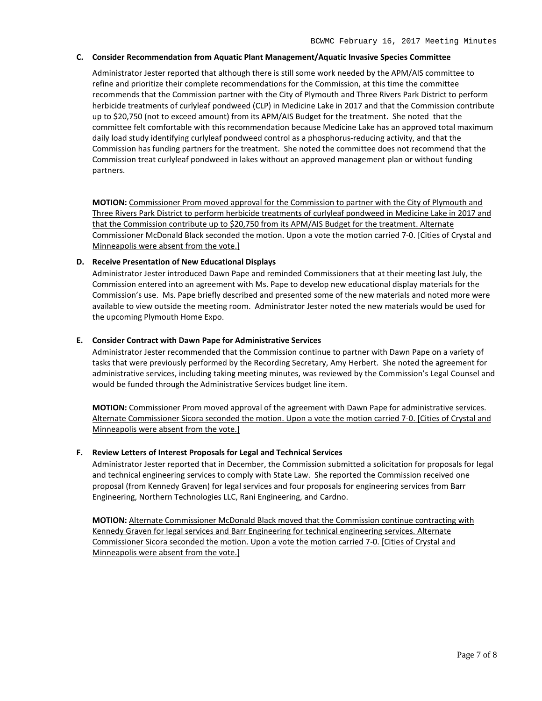#### **C. Consider Recommendation from Aquatic Plant Management/Aquatic Invasive Species Committee**

Administrator Jester reported that although there is still some work needed by the APM/AIS committee to refine and prioritize their complete recommendations for the Commission, at this time the committee recommends that the Commission partner with the City of Plymouth and Three Rivers Park District to perform herbicide treatments of curlyleaf pondweed (CLP) in Medicine Lake in 2017 and that the Commission contribute up to \$20,750 (not to exceed amount) from its APM/AIS Budget for the treatment. She noted that the committee felt comfortable with this recommendation because Medicine Lake has an approved total maximum daily load study identifying curlyleaf pondweed control as a phosphorus-reducing activity, and that the Commission has funding partners for the treatment. She noted the committee does not recommend that the Commission treat curlyleaf pondweed in lakes without an approved management plan or without funding partners.

**MOTION:** Commissioner Prom moved approval for the Commission to partner with the City of Plymouth and Three Rivers Park District to perform herbicide treatments of curlyleaf pondweed in Medicine Lake in 2017 and that the Commission contribute up to \$20,750 from its APM/AIS Budget for the treatment. Alternate Commissioner McDonald Black seconded the motion. Upon a vote the motion carried 7-0. [Cities of Crystal and Minneapolis were absent from the vote.]

#### **D. Receive Presentation of New Educational Displays**

Administrator Jester introduced Dawn Pape and reminded Commissioners that at their meeting last July, the Commission entered into an agreement with Ms. Pape to develop new educational display materials for the Commission's use. Ms. Pape briefly described and presented some of the new materials and noted more were available to view outside the meeting room. Administrator Jester noted the new materials would be used for the upcoming Plymouth Home Expo.

#### **E. Consider Contract with Dawn Pape for Administrative Services**

Administrator Jester recommended that the Commission continue to partner with Dawn Pape on a variety of tasks that were previously performed by the Recording Secretary, Amy Herbert. She noted the agreement for administrative services, including taking meeting minutes, was reviewed by the Commission's Legal Counsel and would be funded through the Administrative Services budget line item.

**MOTION:** Commissioner Prom moved approval of the agreement with Dawn Pape for administrative services. Alternate Commissioner Sicora seconded the motion. Upon a vote the motion carried 7-0. [Cities of Crystal and Minneapolis were absent from the vote.]

#### **F. Review Letters of Interest Proposals for Legal and Technical Services**

Administrator Jester reported that in December, the Commission submitted a solicitation for proposals for legal and technical engineering services to comply with State Law. She reported the Commission received one proposal (from Kennedy Graven) for legal services and four proposals for engineering services from Barr Engineering, Northern Technologies LLC, Rani Engineering, and Cardno.

**MOTION:** Alternate Commissioner McDonald Black moved that the Commission continue contracting with Kennedy Graven for legal services and Barr Engineering for technical engineering services. Alternate Commissioner Sicora seconded the motion. Upon a vote the motion carried 7-0. [Cities of Crystal and Minneapolis were absent from the vote.]